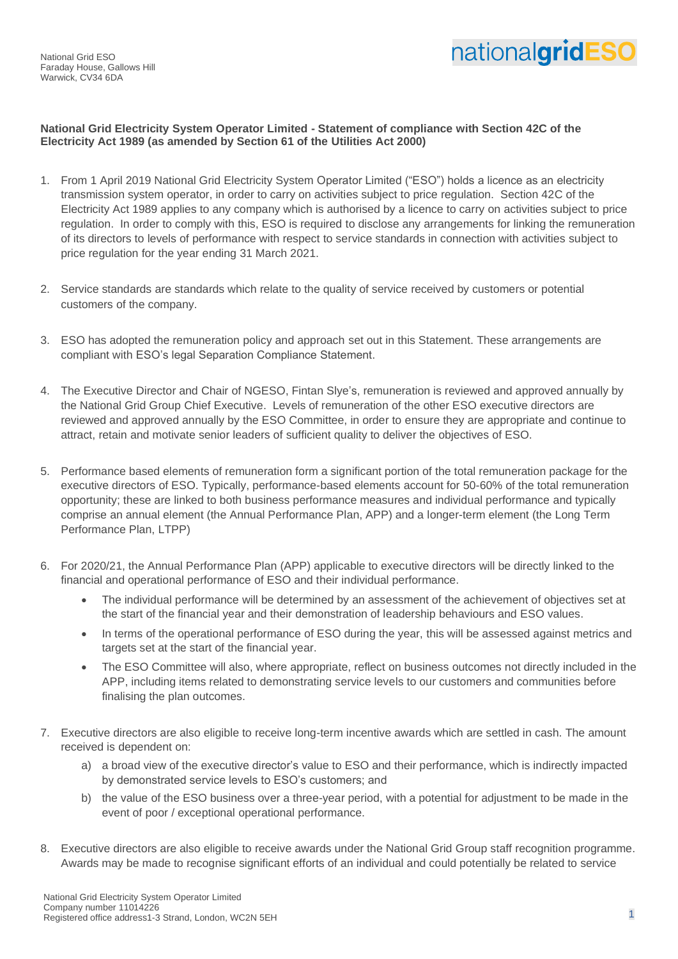National Grid ESO Faraday House, Gallows Hill Warwick, CV34 6DA



## **National Grid Electricity System Operator Limited - Statement of compliance with Section 42C of the Electricity Act 1989 (as amended by Section 61 of the Utilities Act 2000)**

- 1. From 1 April 2019 National Grid Electricity System Operator Limited ("ESO") holds a licence as an electricity transmission system operator, in order to carry on activities subject to price regulation. Section 42C of the Electricity Act 1989 applies to any company which is authorised by a licence to carry on activities subject to price regulation. In order to comply with this, ESO is required to disclose any arrangements for linking the remuneration of its directors to levels of performance with respect to service standards in connection with activities subject to price regulation for the year ending 31 March 2021.
- 2. Service standards are standards which relate to the quality of service received by customers or potential customers of the company.
- 3. ESO has adopted the remuneration policy and approach set out in this Statement. These arrangements are compliant with ESO's legal Separation Compliance Statement.
- 4. The Executive Director and Chair of NGESO, Fintan Slye's, remuneration is reviewed and approved annually by the National Grid Group Chief Executive. Levels of remuneration of the other ESO executive directors are reviewed and approved annually by the ESO Committee, in order to ensure they are appropriate and continue to attract, retain and motivate senior leaders of sufficient quality to deliver the objectives of ESO.
- 5. Performance based elements of remuneration form a significant portion of the total remuneration package for the executive directors of ESO. Typically, performance-based elements account for 50-60% of the total remuneration opportunity; these are linked to both business performance measures and individual performance and typically comprise an annual element (the Annual Performance Plan, APP) and a longer-term element (the Long Term Performance Plan, LTPP)
- 6. For 2020/21, the Annual Performance Plan (APP) applicable to executive directors will be directly linked to the financial and operational performance of ESO and their individual performance.
	- The individual performance will be determined by an assessment of the achievement of objectives set at the start of the financial year and their demonstration of leadership behaviours and ESO values.
	- In terms of the operational performance of ESO during the year, this will be assessed against metrics and targets set at the start of the financial year.
	- The ESO Committee will also, where appropriate, reflect on business outcomes not directly included in the APP, including items related to demonstrating service levels to our customers and communities before finalising the plan outcomes.
- 7. Executive directors are also eligible to receive long-term incentive awards which are settled in cash. The amount received is dependent on:
	- a) a broad view of the executive director's value to ESO and their performance, which is indirectly impacted by demonstrated service levels to ESO's customers; and
	- b) the value of the ESO business over a three-year period, with a potential for adjustment to be made in the event of poor / exceptional operational performance.
- 8. Executive directors are also eligible to receive awards under the National Grid Group staff recognition programme. Awards may be made to recognise significant efforts of an individual and could potentially be related to service